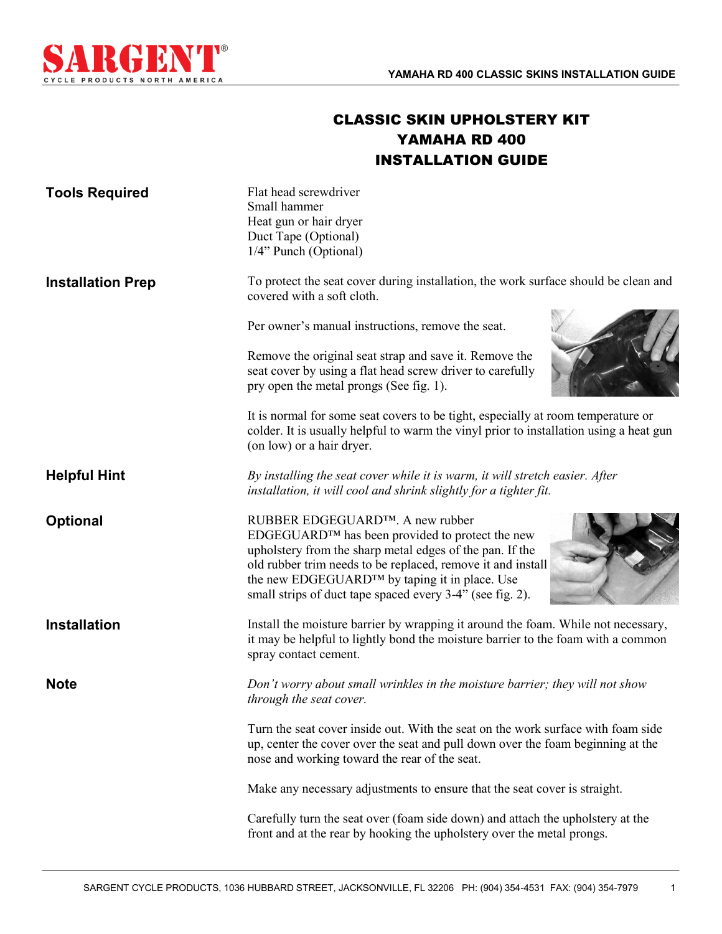

## CLASSIC SKIN UPHOLSTERY KIT YAMAHA RD 400 INSTALLATION GUIDE

| <b>Tools Required</b>    | Flat head screwdriver<br>Small hammer<br>Heat gun or hair dryer<br>Duct Tape (Optional)<br>1/4" Punch (Optional)                                                                                                                                                                                                            |
|--------------------------|-----------------------------------------------------------------------------------------------------------------------------------------------------------------------------------------------------------------------------------------------------------------------------------------------------------------------------|
| <b>Installation Prep</b> | To protect the seat cover during installation, the work surface should be clean and<br>covered with a soft cloth.                                                                                                                                                                                                           |
|                          | Per owner's manual instructions, remove the seat.                                                                                                                                                                                                                                                                           |
|                          | Remove the original seat strap and save it. Remove the<br>seat cover by using a flat head screw driver to carefully<br>pry open the metal prongs (See fig. 1).                                                                                                                                                              |
|                          | It is normal for some seat covers to be tight, especially at room temperature or<br>colder. It is usually helpful to warm the vinyl prior to installation using a heat gun<br>(on low) or a hair dryer.                                                                                                                     |
| <b>Helpful Hint</b>      | By installing the seat cover while it is warm, it will stretch easier. After<br>installation, it will cool and shrink slightly for a tighter fit.                                                                                                                                                                           |
| <b>Optional</b>          | RUBBER EDGEGUARD™. A new rubber<br>EDGEGUARD™ has been provided to protect the new<br>upholstery from the sharp metal edges of the pan. If the<br>old rubber trim needs to be replaced, remove it and install<br>the new EDGEGUARD™ by taping it in place. Use<br>small strips of duct tape spaced every 3-4" (see fig. 2). |
| <b>Installation</b>      | Install the moisture barrier by wrapping it around the foam. While not necessary,<br>it may be helpful to lightly bond the moisture barrier to the foam with a common<br>spray contact cement.                                                                                                                              |
| <b>Note</b>              | Don't worry about small wrinkles in the moisture barrier; they will not show<br>through the seat cover.                                                                                                                                                                                                                     |
|                          | Turn the seat cover inside out. With the seat on the work surface with foam side<br>up, center the cover over the seat and pull down over the foam beginning at the<br>nose and working toward the rear of the seat.                                                                                                        |
|                          | Make any necessary adjustments to ensure that the seat cover is straight.                                                                                                                                                                                                                                                   |
|                          | Carefully turn the seat over (foam side down) and attach the upholstery at the<br>front and at the rear by hooking the upholstery over the metal prongs.                                                                                                                                                                    |

1